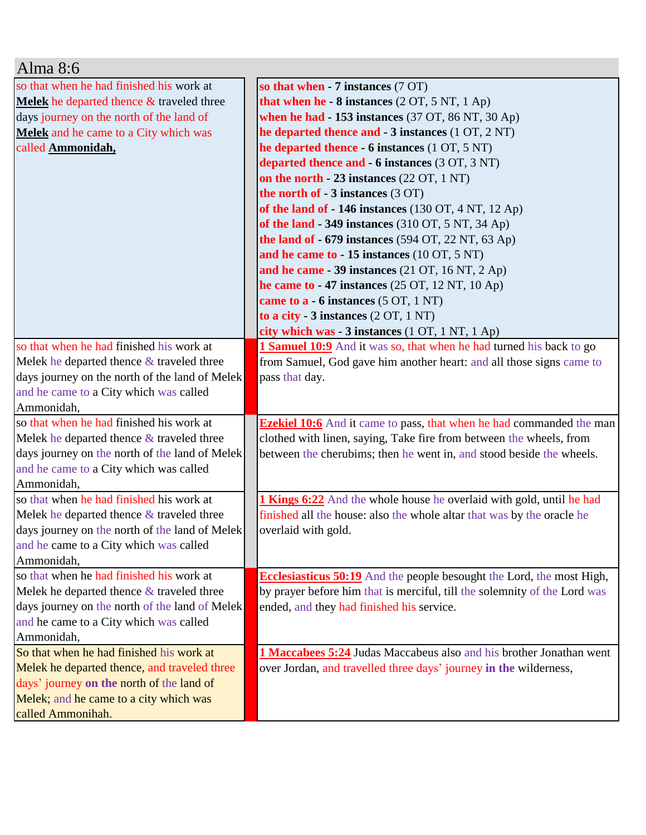| Alma 8:6                                            |                                                                                |
|-----------------------------------------------------|--------------------------------------------------------------------------------|
| so that when he had finished his work at            | so that when $-7$ instances $(7 \text{ OT})$                                   |
| <b>Melek</b> he departed thence $\&$ traveled three | that when he - 8 instances (2 OT, 5 NT, 1 Ap)                                  |
| days journey on the north of the land of            | when he had $-153$ instances (37 OT, 86 NT, 30 Ap)                             |
| Melek and he came to a City which was               | he departed thence and $-3$ instances $(1 OT, 2 NT)$                           |
| called Ammonidah,                                   | he departed thence - 6 instances (1 OT, 5 NT)                                  |
|                                                     | departed thence and - 6 instances (3 OT, 3 NT)                                 |
|                                                     | on the north $-23$ instances (22 OT, 1 NT)                                     |
|                                                     | the north of - 3 instances (3 OT)                                              |
|                                                     | of the land of - 146 instances $(130 \text{ OT}, 4 \text{ NT}, 12 \text{ Ap})$ |
|                                                     | of the land - 349 instances (310 OT, 5 NT, 34 Ap)                              |
|                                                     | the land of $-679$ instances (594 OT, 22 NT, 63 Ap)                            |
|                                                     | and he came to - 15 instances (10 OT, 5 NT)                                    |
|                                                     | and he came $-39$ instances (21 OT, 16 NT, 2 Ap)                               |
|                                                     | he came to $-47$ instances (25 OT, 12 NT, 10 Ap)                               |
|                                                     | came to a - 6 instances (5 OT, 1 NT)                                           |
|                                                     | to a city - $3$ instances $(2 OT, 1 NT)$                                       |
|                                                     | city which was - 3 instances (1 OT, 1 NT, 1 Ap)                                |
| so that when he had finished his work at            | 1 Samuel 10:9 And it was so, that when he had turned his back to go            |
| Melek he departed thence & traveled three           | from Samuel, God gave him another heart: and all those signs came to           |
| days journey on the north of the land of Melek      | pass that day.                                                                 |
| and he came to a City which was called              |                                                                                |
| Ammonidah,                                          |                                                                                |
| so that when he had finished his work at            | <b>Ezekiel 10:6</b> And it came to pass, that when he had commanded the man    |
| Melek he departed thence $\&$ traveled three        | clothed with linen, saying, Take fire from between the wheels, from            |
| days journey on the north of the land of Melek      | between the cherubims; then he went in, and stood beside the wheels.           |
| and he came to a City which was called              |                                                                                |
| Ammonidah,                                          |                                                                                |
| so that when he had finished his work at            | <b>1 Kings 6:22</b> And the whole house he overlaid with gold, until he had    |
| Melek he departed thence & traveled three           | finished all the house: also the whole altar that was by the oracle he         |
| days journey on the north of the land of Melek      | overlaid with gold.                                                            |
| and he came to a City which was called              |                                                                                |
| Ammonidah,                                          |                                                                                |
| so that when he had finished his work at            | <b>Ecclesiasticus 50:19</b> And the people besought the Lord, the most High,   |
| Melek he departed thence $\&$ traveled three        | by prayer before him that is merciful, till the solemnity of the Lord was      |
| days journey on the north of the land of Melek      | ended, and they had finished his service.                                      |
| and he came to a City which was called              |                                                                                |
| Ammonidah,                                          |                                                                                |
| So that when he had finished his work at            | 1 Maccabees 5:24 Judas Maccabeus also and his brother Jonathan went            |
| Melek he departed thence, and traveled three        | over Jordan, and travelled three days' journey in the wilderness,              |
| days' journey on the north of the land of           |                                                                                |
| Melek; and he came to a city which was              |                                                                                |
| called Ammonihah.                                   |                                                                                |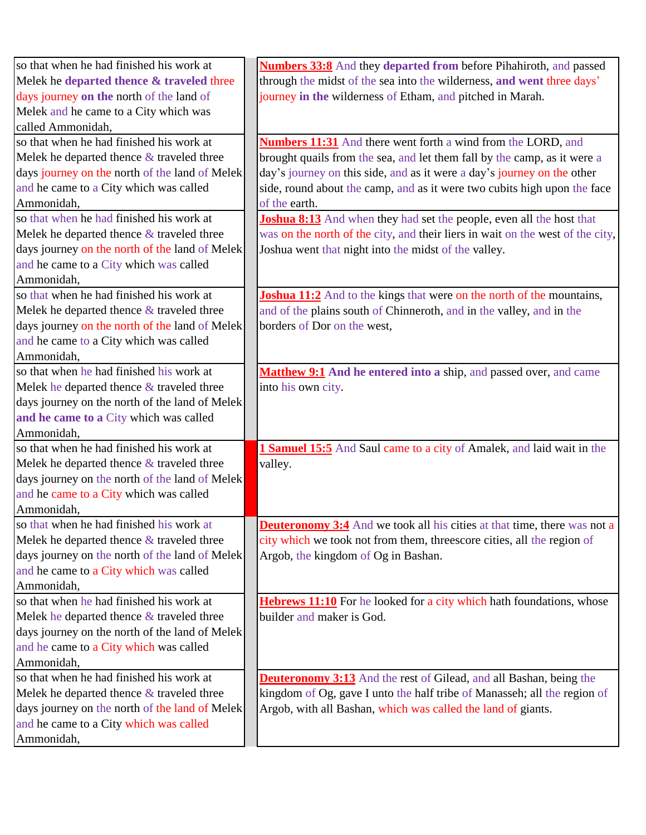| so that when he had finished his work at       | <b>Numbers 33:8</b> And they departed from before Pihahiroth, and passed        |
|------------------------------------------------|---------------------------------------------------------------------------------|
| Melek he departed thence & traveled three      | through the midst of the sea into the wilderness, and went three days'          |
| days journey on the north of the land of       | journey in the wilderness of Etham, and pitched in Marah.                       |
| Melek and he came to a City which was          |                                                                                 |
| called Ammonidah,                              |                                                                                 |
| so that when he had finished his work at       | <b>Numbers 11:31</b> And there went forth a wind from the LORD, and             |
| Melek he departed thence $\&$ traveled three   | brought quails from the sea, and let them fall by the camp, as it were a        |
| days journey on the north of the land of Melek | day's journey on this side, and as it were a day's journey on the other         |
| and he came to a City which was called         | side, round about the camp, and as it were two cubits high upon the face        |
| Ammonidah,                                     | of the earth.                                                                   |
| so that when he had finished his work at       | <b>Joshua 8:13</b> And when they had set the people, even all the host that     |
| Melek he departed thence $\&$ traveled three   | was on the north of the city, and their liers in wait on the west of the city,  |
| days journey on the north of the land of Melek | Joshua went that night into the midst of the valley.                            |
| and he came to a City which was called         |                                                                                 |
| Ammonidah,                                     |                                                                                 |
| so that when he had finished his work at       | <b>Joshua 11:2</b> And to the kings that were on the north of the mountains,    |
| Melek he departed thence $\&$ traveled three   | and of the plains south of Chinneroth, and in the valley, and in the            |
| days journey on the north of the land of Melek | borders of Dor on the west,                                                     |
| and he came to a City which was called         |                                                                                 |
| Ammonidah,                                     |                                                                                 |
| so that when he had finished his work at       | Matthew 9:1 And he entered into a ship, and passed over, and came               |
| Melek he departed thence & traveled three      | into his own city.                                                              |
| days journey on the north of the land of Melek |                                                                                 |
| and he came to a City which was called         |                                                                                 |
| Ammonidah,                                     |                                                                                 |
| so that when he had finished his work at       | 1 Samuel 15:5 And Saul came to a city of Amalek, and laid wait in the           |
| Melek he departed thence $&$ traveled three    | valley.                                                                         |
| days journey on the north of the land of Melek |                                                                                 |
| and he came to a City which was called         |                                                                                 |
| Ammonidah,                                     |                                                                                 |
| so that when he had finished his work at       | <b>Deuteronomy 3:4</b> And we took all his cities at that time, there was not a |
| Melek he departed thence $\&$ traveled three   | city which we took not from them, threescore cities, all the region of          |
| days journey on the north of the land of Melek | Argob, the kingdom of Og in Bashan.                                             |
| and he came to a City which was called         |                                                                                 |
| Ammonidah,                                     |                                                                                 |
| so that when he had finished his work at       | Hebrews 11:10 For he looked for a city which hath foundations, whose            |
| Melek he departed thence & traveled three      | builder and maker is God.                                                       |
| days journey on the north of the land of Melek |                                                                                 |
| and he came to a City which was called         |                                                                                 |
| Ammonidah,                                     |                                                                                 |
| so that when he had finished his work at       | <b>Deuteronomy 3:13</b> And the rest of Gilead, and all Bashan, being the       |
| Melek he departed thence $\&$ traveled three   | kingdom of Og, gave I unto the half tribe of Manasseh; all the region of        |
| days journey on the north of the land of Melek | Argob, with all Bashan, which was called the land of giants.                    |
| and he came to a City which was called         |                                                                                 |
| Ammonidah,                                     |                                                                                 |